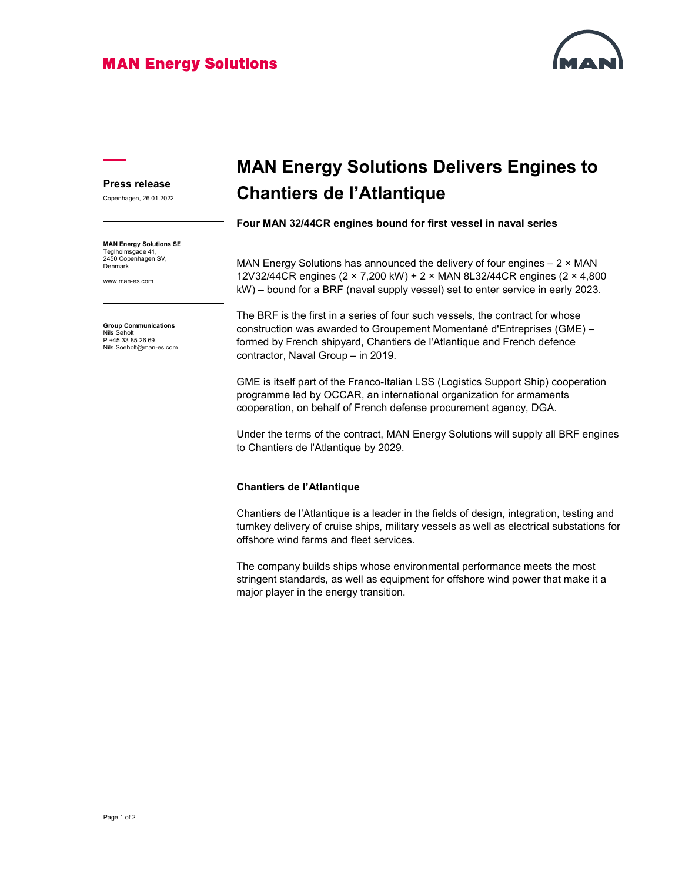### **MAN Energy Solutions**



#### Press release

Copenhagen, 26.01.2022

MAN Energy Solutions SE Teglholmsgade 41, 2450 Copenhagen SV, Denmark

www.man-es.com

Group Communications Nils Søholt P +45 33 85 26 69 Nils.Soeholt@man-es.com

# MAN Energy Solutions Delivers Engines to Chantiers de l'Atlantique

Four MAN 32/44CR engines bound for first vessel in naval series

MAN Energy Solutions has announced the delivery of four engines  $-2 \times MAN$ 12V32/44CR engines (2 × 7,200 kW) + 2 × MAN 8L32/44CR engines (2 × 4,800 kW) – bound for a BRF (naval supply vessel) set to enter service in early 2023.

The BRF is the first in a series of four such vessels, the contract for whose construction was awarded to Groupement Momentané d'Entreprises (GME) – formed by French shipyard, Chantiers de l'Atlantique and French defence contractor, Naval Group – in 2019.

GME is itself part of the Franco-Italian LSS (Logistics Support Ship) cooperation programme led by OCCAR, an international organization for armaments cooperation, on behalf of French defense procurement agency, DGA.

Under the terms of the contract, MAN Energy Solutions will supply all BRF engines to Chantiers de l'Atlantique by 2029.

#### Chantiers de l'Atlantique

Chantiers de l'Atlantique is a leader in the fields of design, integration, testing and turnkey delivery of cruise ships, military vessels as well as electrical substations for offshore wind farms and fleet services.

The company builds ships whose environmental performance meets the most stringent standards, as well as equipment for offshore wind power that make it a major player in the energy transition.